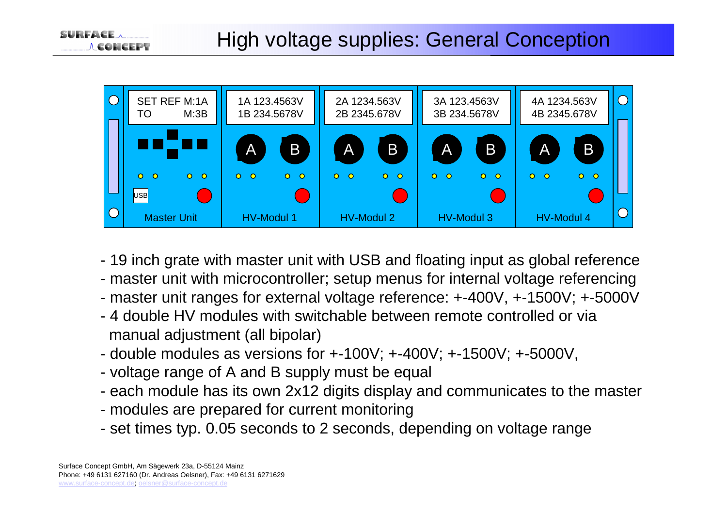

- 19 inch grate with master unit with USB and floating input as global reference
- master unit with microcontroller; setup menus for internal voltage referencing
- master unit ranges for external voltage reference: +-400V, +-1500V; +-5000V
- 4 double HV modules with switchable between remote controlled or via manual adjustment (all bipolar)
- double modules as versions for +-100V; +-400V; +-1500V; +-5000V,
- voltage range of A and B supply must be equal
- each module has its own 2x12 digits display and communicates to the master
- modules are prepared for current monitoring
- set times typ. 0.05 seconds to 2 seconds, depending on voltage range

**CONCEPT**